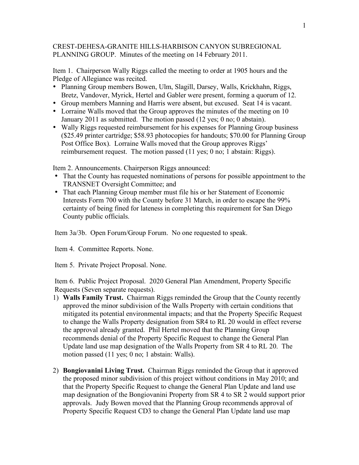## CREST-DEHESA-GRANITE HILLS-HARBISON CANYON SUBREGIONAL PLANNING GROUP. Minutes of the meeting on 14 February 2011.

Item 1. Chairperson Wally Riggs called the meeting to order at 1905 hours and the Pledge of Allegiance was recited.

- Planning Group members Bowen, Ulm, Slagill, Darsey, Walls, Krickhahn, Riggs, Bretz, Vandover, Myrick, Hertel and Gabler were present, forming a quorum of 12.
- Group members Manning and Harris were absent, but excused. Seat 14 is vacant.
- Lorraine Walls moved that the Group approves the minutes of the meeting on 10 January 2011 as submitted. The motion passed (12 yes; 0 no; 0 abstain).
- Wally Riggs requested reimbursement for his expenses for Planning Group business (\$25.49 printer cartridge; \$58.93 photocopies for handouts; \$70.00 for Planning Group Post Office Box). Lorraine Walls moved that the Group approves Riggs' reimbursement request. The motion passed (11 yes; 0 no; 1 abstain: Riggs).

Item 2. Announcements. Chairperson Riggs announced:

- That the County has requested nominations of persons for possible appointment to the TRANSNET Oversight Committee; and
- That each Planning Group member must file his or her Statement of Economic Interests Form 700 with the County before 31 March, in order to escape the 99% certainty of being fined for lateness in completing this requirement for San Diego County public officials.

Item 3a/3b. Open Forum/Group Forum. No one requested to speak.

Item 4. Committee Reports. None.

Item 5. Private Project Proposal. None.

Item 6. Public Project Proposal. 2020 General Plan Amendment, Property Specific Requests (Seven separate requests).

- 1) **Walls Family Trust.** Chairman Riggs reminded the Group that the County recently approved the minor subdivision of the Walls Property with certain conditions that mitigated its potential environmental impacts; and that the Property Specific Request to change the Walls Property designation from SR4 to RL 20 would in effect reverse the approval already granted. Phil Hertel moved that the Planning Group recommends denial of the Property Specific Request to change the General Plan Update land use map designation of the Walls Property from SR 4 to RL 20. The motion passed (11 yes; 0 no; 1 abstain: Walls).
- 2) **Bongiovanini Living Trust.** Chairman Riggs reminded the Group that it approved the proposed minor subdivision of this project without conditions in May 2010; and that the Property Specific Request to change the General Plan Update and land use map designation of the Bongiovanini Property from SR 4 to SR 2 would support prior approvals. Judy Bowen moved that the Planning Group recommends approval of Property Specific Request CD3 to change the General Plan Update land use map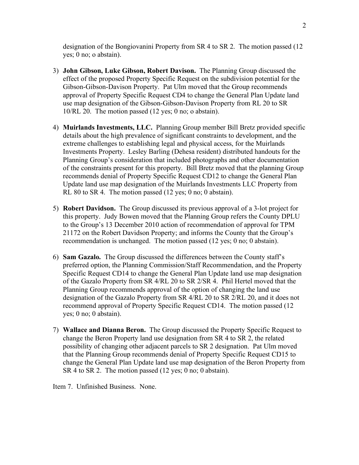designation of the Bongiovanini Property from SR 4 to SR 2. The motion passed (12 yes; 0 no; o abstain).

- 3) **John Gibson, Luke Gibson, Robert Davison.** The Planning Group discussed the effect of the proposed Property Specific Request on the subdivision potential for the Gibson-Gibson-Davison Property. Pat Ulm moved that the Group recommends approval of Property Specific Request CD4 to change the General Plan Update land use map designation of the Gibson-Gibson-Davison Property from RL 20 to SR 10/RL 20. The motion passed (12 yes; 0 no; o abstain).
- 4) **Muirlands Investments, LLC.** Planning Group member Bill Bretz provided specific details about the high prevalence of significant constraints to development, and the extreme challenges to establishing legal and physical access, for the Muirlands Investments Property. Lesley Barling (Dehesa resident) distributed handouts for the Planning Group's consideration that included photographs and other documentation of the constraints present for this property. Bill Bretz moved that the planning Group recommends denial of Property Specific Request CD12 to change the General Plan Update land use map designation of the Muirlands Investments LLC Property from RL 80 to SR 4. The motion passed (12 yes; 0 no; 0 abstain).
- 5) **Robert Davidson.** The Group discussed its previous approval of a 3-lot project for this property. Judy Bowen moved that the Planning Group refers the County DPLU to the Group's 13 December 2010 action of recommendation of approval for TPM 21172 on the Robert Davidson Property; and informs the County that the Group's recommendation is unchanged. The motion passed (12 yes; 0 no; 0 abstain).
- 6) **Sam Gazalo.** The Group discussed the differences between the County staff's preferred option, the Planning Commission/Staff Recommendation, and the Property Specific Request CD14 to change the General Plan Update land use map designation of the Gazalo Property from SR 4/RL 20 to SR 2/SR 4. Phil Hertel moved that the Planning Group recommends approval of the option of changing the land use designation of the Gazalo Property from SR 4/RL 20 to SR 2/RL 20, and it does not recommend approval of Property Specific Request CD14. The motion passed (12 yes; 0 no; 0 abstain).
- 7) **Wallace and Dianna Beron.** The Group discussed the Property Specific Request to change the Beron Property land use designation from SR 4 to SR 2, the related possibility of changing other adjacent parcels to SR 2 designation. Pat Ulm moved that the Planning Group recommends denial of Property Specific Request CD15 to change the General Plan Update land use map designation of the Beron Property from SR 4 to SR 2. The motion passed (12 yes; 0 no; 0 abstain).

Item 7. Unfinished Business. None.